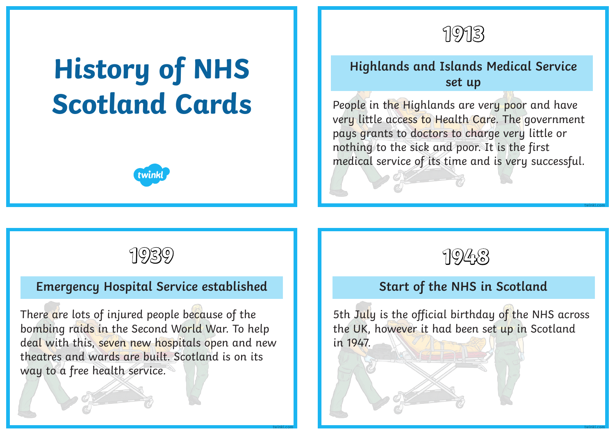

# **History of NHS Scotland Cards**



# **Highlands and Islands Medical Service set up**

People in the Highlands are very poor and have very little access to Health Care. The government pays grants to doctors to charge very little or nothing to the sick and poor. It is the first medical service of its time and is very successful.

# **Emergency Hospital Service established**

There are lots of injured people because of the bombing raids in the Second World War. To help deal with this, seven new hospitals open and new theatres and wards are built. Scotland is on its way to a free health service.



**twinkl.com**

### **Start of the NHS in Scotland**

5th July is the official birthday of the NHS across the UK, however it had been set up in Scotland in 1947.

**twinkl.com twinkl.com**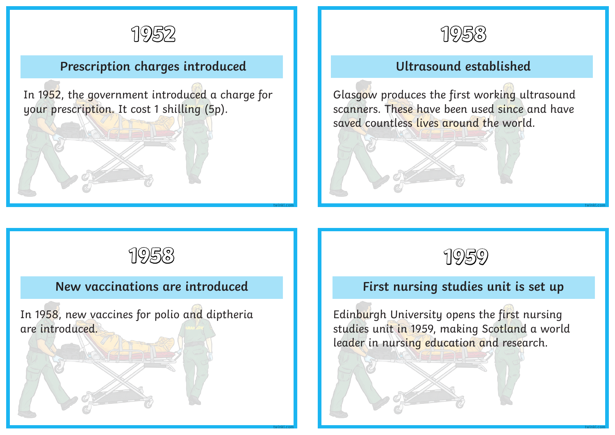

# **Prescription charges introduced**

In 1952, the government introduced a charge for your prescription. It cost 1 shilling (5p).



# **Ultrasound established**

Glasgow produces the first working ultrasound scanners. These have been used since and have saved countless lives around the world.



#### **New vaccinations are introduced**

**twinkl.com**

**twinkl.com**

In 1958, new vaccines for polio and diptheria are introduced.



#### **First nursing studies unit is set up**

**twinkl.com**

**twinkl.com**

Edinburgh University opens the first nursing studies unit in 1959, making Scotland a world leader in nursing education and research.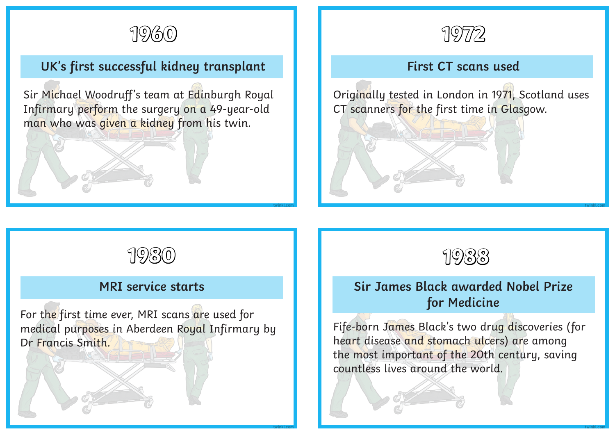

# **UK's first successful kidney transplant**

Sir Michael Woodruff's team at Edinburgh Royal Infirmary perform the surgery on a 49-year-old man who was given a kidney from his twin.



#### **First CT scans used**

Originally tested in London in 1971, Scotland uses CT scanners for the first time in Glasgow.



#### **MRI service starts**

For the first time ever, MRI scans are used for medical purposes in Aberdeen Royal Infirmary by Dr Francis Smith.

**twinkl.com**

**twinkl.com**



## **Sir James Black awarded Nobel Prize for Medicine**

Fife-born James Black's two drug discoveries (for heart disease and stomach ulcers) are among the most important of the 20th century, saving countless lives around the world.

**twinkl.com**

**twinkl.com**